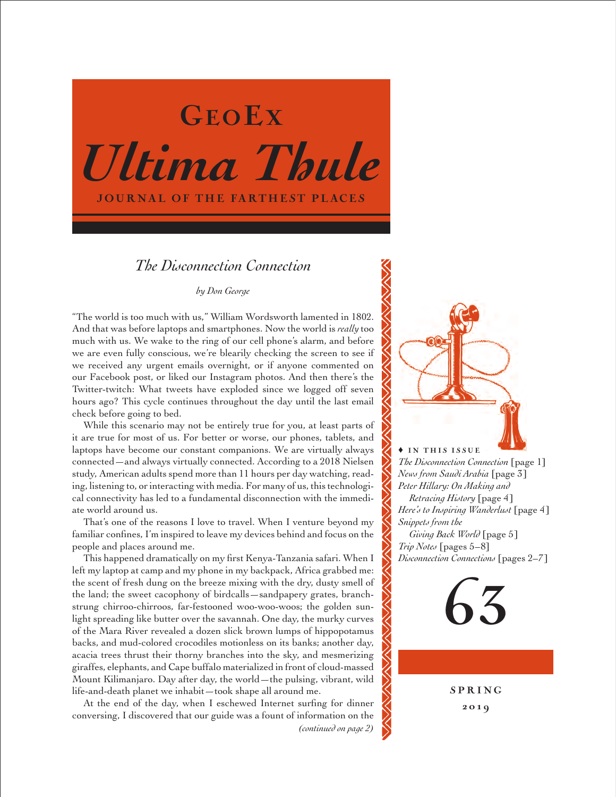

## *The Disconnection Connection*

## *by Don George*

"The world is too much with us," William Wordsworth lamented in 1802. And that was before laptops and smartphones. Now the world is *really* too much with us. We wake to the ring of our cell phone's alarm, and before we are even fully conscious, we're blearily checking the screen to see if we received any urgent emails overnight, or if anyone commented on our Facebook post, or liked our Instagram photos. And then there's the Twitter-twitch: What tweets have exploded since we logged off seven hours ago? This cycle continues throughout the day until the last email check before going to bed.

While this scenario may not be entirely true for you, at least parts of it are true for most of us. For better or worse, our phones, tablets, and laptops have become our constant companions. We are virtually always connected—and always virtually connected. According to a 2018 Nielsen study, American adults spend more than 11 hours per day watching, reading, listening to, or interacting with media. For many of us, this technological connectivity has led to a fundamental disconnection with the immediate world around us.

That's one of the reasons I love to travel. When I venture beyond my familiar confines, I'm inspired to leave my devices behind and focus on the people and places around me.

This happened dramatically on my first Kenya-Tanzania safari. When I left my laptop at camp and my phone in my backpack, Africa grabbed me: the scent of fresh dung on the breeze mixing with the dry, dusty smell of the land; the sweet cacophony of birdcalls—sandpapery grates, branchstrung chirroo-chirroos, far-festooned woo-woo-woos; the golden sunlight spreading like butter over the savannah. One day, the murky curves of the Mara River revealed a dozen slick brown lumps of hippopotamus backs, and mud-colored crocodiles motionless on its banks; another day, acacia trees thrust their thorny branches into the sky, and mesmerizing giraffes, elephants, and Cape buffalo materialized in front of cloud-massed Mount Kilimanjaro. Day after day, the world—the pulsing, vibrant, wild life-and-death planet we inhabit—took shape all around me.

At the end of the day, when I eschewed Internet surfing for dinner conversing, I discovered that our guide was a fount of information on the

*(continued on page 2)*



*The Disconnection Connection* [page 1] *News from Saudi Arabia* [page 3] *Peter Hillary: On Making and Retracing History* [page 4] *Here's to Inspiring Wanderlust* [page 4] *Snippets from the Giving Back World* [page 5] *Trip Notes* [pages 5–8] *Disconnection Connections* [pages 2–7]



**SPRING** 201 9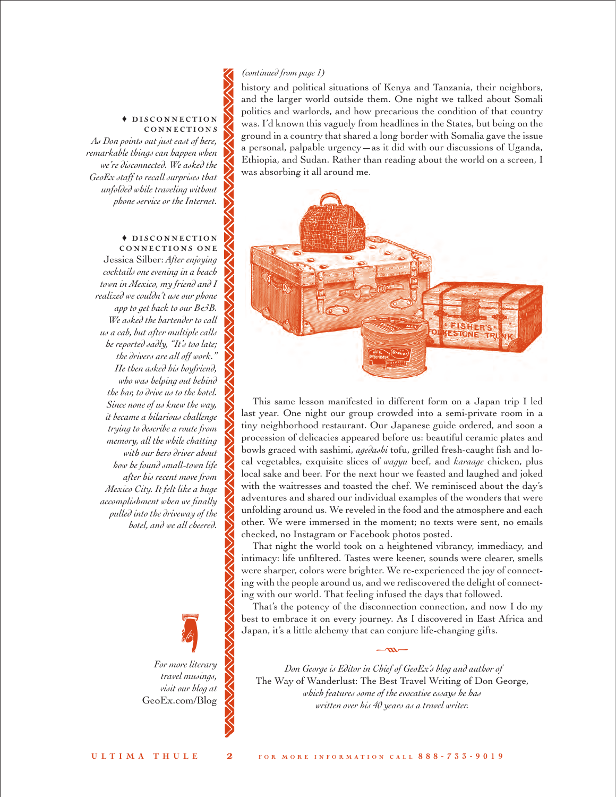## *(continued from page 1)*

history and political situations of Kenya and Tanzania, their neighbors, and the larger world outside them. One night we talked about Somali politics and warlords, and how precarious the condition of that country was. I'd known this vaguely from headlines in the States, but being on the ground in a country that shared a long border with Somalia gave the issue a personal, palpable urgency—as it did with our discussions of Uganda, Ethiopia, and Sudan. Rather than reading about the world on a screen, I was absorbing it all around me.



This same lesson manifested in different form on a Japan trip I led last year. One night our group crowded into a semi-private room in a tiny neighborhood restaurant. Our Japanese guide ordered, and soon a procession of delicacies appeared before us: beautiful ceramic plates and bowls graced with sashimi, *agedashi* tofu, grilled fresh-caught fish and local vegetables, exquisite slices of *wagyu* beef, and *karaage* chicken, plus local sake and beer. For the next hour we feasted and laughed and joked with the waitresses and toasted the chef. We reminisced about the day's adventures and shared our individual examples of the wonders that were unfolding around us. We reveled in the food and the atmosphere and each other. We were immersed in the moment; no texts were sent, no emails checked, no Instagram or Facebook photos posted.

That night the world took on a heightened vibrancy, immediacy, and intimacy: life unfiltered. Tastes were keener, sounds were clearer, smells were sharper, colors were brighter. We re-experienced the joy of connecting with the people around us, and we rediscovered the delight of connecting with our world. That feeling infused the days that followed.

That's the potency of the disconnection connection, and now I do my best to embrace it on every journey. As I discovered in East Africa and Japan, it's a little alchemy that can conjure life-changing gifts.

 $-m-$ 

*Don George is Editor in Chief of GeoEx's b log and author of*  The Way of Wanderlust: The Best Travel Writing of Don George, *which features some of the evocative essays he has written over his 40 years as a travel writer.*

#### $\blacklozenge$  DISCONNECTION CONNECTIONS

*As Don points out just east of here, remarkable things can happen when we're disconnected. We asked the GeoEx staff to recall surprises that unfolded while traveling without phone service or the Internet.*

#### $\triangle$  DISCONNECTION CONNECTIONS ONE

Jessica Silber: *After enjoying cocktails one evening in a beach town in Mexico, my friend and I realized we couldn't use our phone app to get back to our B&B. We asked the bartender to call us a cab, but after multiple calls he reported sadly, "It's too late; the drivers are all off work." He then asked his boyfriend, who was helping out behind the bar, to drive us to the hotel. Since none of us knew the way, it became a hilarious challenge trying to describe a route from memory, all the while chatting with our hero driver about how he found small-town life after his recent move from Mexico City. It felt like a huge accomplishment when we finally pulled into the driveway of the hotel, and we all cheered.*

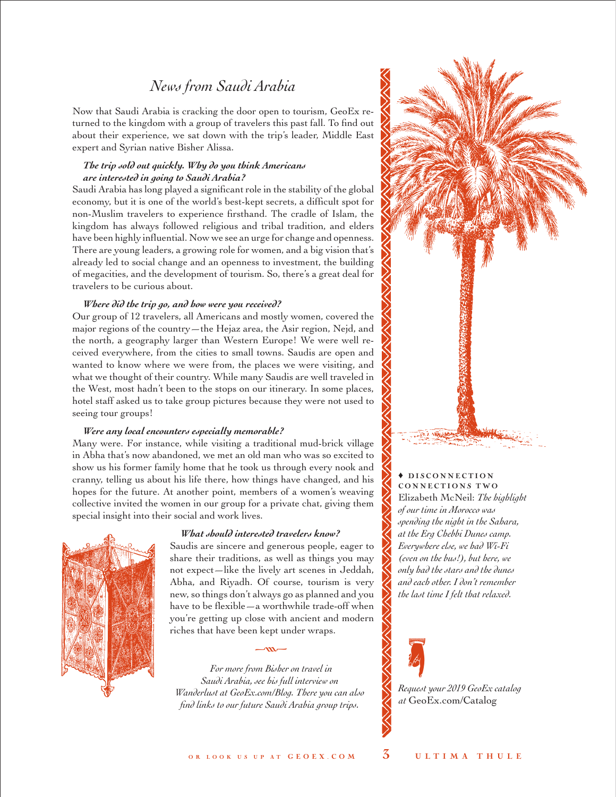# *News from Saudi Arabia*

Now that Saudi Arabia is cracking the door open to tourism, GeoEx returned to the kingdom with a group of travelers this past fall. To find out about their experience, we sat down with the trip's leader, Middle East expert and Syrian native Bisher Alissa.

## *The trip sold out quickly. Why do you think Americans are interested in going to Saudi Arabia?*

Saudi Arabia has long played a significant role in the stability of the global economy, but it is one of the world's best-kept secrets, a difficult spot for non-Muslim travelers to experience firsthand. The cradle of Islam, the kingdom has always followed religious and tribal tradition, and elders have been highly influential. Now we see an urge for change and openness. There are young leaders, a growing role for women, and a big vision that's already led to social change and an openness to investment, the building of megacities, and the development of tourism. So, there's a great deal for travelers to be curious about.

## *Where did the trip go, and how were you received?*

Our group of 12 travelers, all Americans and mostly women, covered the major regions of the country—the Hejaz area, the Asir region, Nejd, and the north, a geography larger than Western Europe! We were well received everywhere, from the cities to small towns. Saudis are open and wanted to know where we were from, the places we were visiting, and what we thought of their country. While many Saudis are well traveled in the West, most hadn't been to the stops on our itinerary. In some places, hotel staff asked us to take group pictures because they were not used to seeing tour groups!

## *Were any local encounters especially memorable?*

Many were. For instance, while visiting a traditional mud-brick village in Abha that's now abandoned, we met an old man who was so excited to show us his former family home that he took us through every nook and cranny, telling us about his life there, how things have changed, and his hopes for the future. At another point, members of a women's weaving collective invited the women in our group for a private chat, giving them special insight into their social and work lives.

## *What should interested travelers know?*



Saudis are sincere and generous people, eager to share their traditions, as well as things you may not expect—like the lively art scenes in Jeddah, Abha, and Riyadh. Of course, tourism is very new, so things don't always go as planned and you have to be flexible—a worthwhile trade-off when you're getting up close with ancient and modern riches that have been kept under wraps.

*For more from Bisher on travel in Saudi Arabia, see his full interview on Wanderlust at [GeoEx.com/Blog.](https://www.geoex.com/blog) There you can also find links to our future Saudi Arabia group trips.*

 $-m-$ 



## $\triangle$  DISCONNECTION CONNECTIONS TWO Elizabeth McNeil: *The highlight of our time in Morocco was*

*spending the night in the Sahara, at the Erg Chebbi Dunes camp. Everywhere else, we had Wi-Fi (even on the bus!), but here, we only had the stars and the dunes and each other. I don't remember the last time I felt that relaxed.*



*[Request your 2019 GeoEx catalog](https://www.geoex.com/Catalog)  at* GeoEx.com/Catalog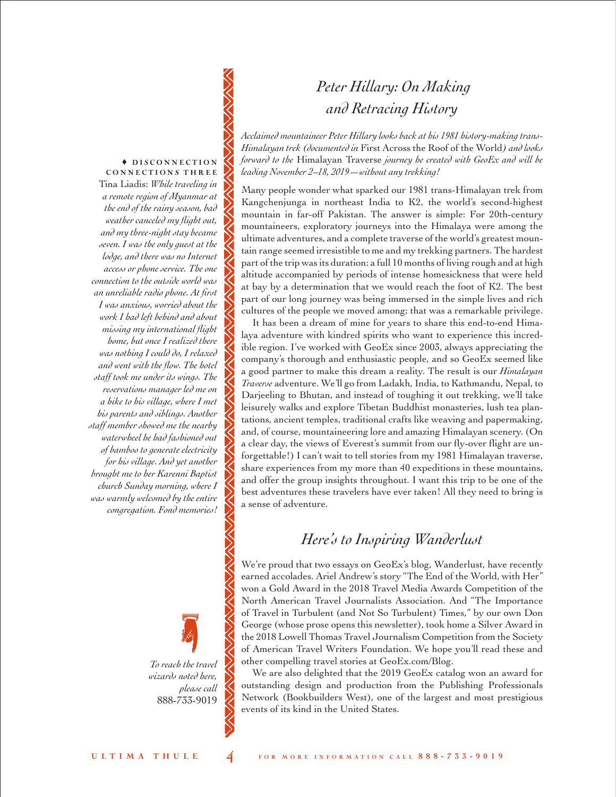# *Peter Hillary: On Making and Retracing History*

*Acclaimed mountaineer Peter Hillary looks back at his 1981 history-making trans-Himalayan trek (documented in* First Across the Roof of the World*) and looks forward to the* Himalayan Traverse *journey he created with GeoEx and will be leading November 2–18, 2019—without any trekking!*

Many people wonder what sparked our 1981 trans-Himalayan trek from Kangchenjunga in northeast India to K2, the world's second-highest mountain in far-off Pakistan. The answer is simple: For 20th-century mountaineers, exploratory journeys into the Himalaya were among the ultimate adventures, and a complete traverse of the world's greatest mountain range seemed irresistible to me and my trekking partners. The hardest part of the trip was its duration: a full 10 months of living rough and at high altitude accompanied by periods of intense homesickness that were held at bay by a determination that we would reach the foot of K2. The best part of our long journey was being immersed in the simple lives and rich cultures of the people we moved among; that was a remarkable privilege.

It has been a dream of mine for years to share this end-to-end Himalaya adventure with kindred spirits who want to experience this incredible region. I've worked with GeoEx since 2003, always appreciating the company's thorough and enthusiastic people, and so GeoEx seemed like a good partner to make this dream a reality. The result is our *Himalayan Traverse* adventure. We'll go from Ladakh, India, to Kathmandu, Nepal, to Darjeeling to Bhutan, and instead of toughing it out trekking, we'll take leisurely walks and explore Tibetan Buddhist monasteries, lush tea plantations, ancient temples, traditional crafts like weaving and papermaking, and, of course, mountaineering lore and amazing Himalayan scenery. (On a clear day, the views of Everest's summit from our fly-over flight are unforgettable!) I can't wait to tell stories from my 1981 Himalayan traverse, share experiences from my more than 40 expeditions in these mountains, and offer the group insights throughout. I want this trip to be one of the best adventures these travelers have ever taken! All they need to bring is a sense of adventure.

# *Here's to Inspiring Wanderlust*

We're proud that two essays on GeoEx's blog, Wanderlust, have recently earned accolades. Ariel Andrew's story "The End of the World, with Her" won a Gold Award in the 2018 Travel Media Awards Competition of the North American Travel Journalists Association. And "The Importance of Travel in Turbulent (and Not So Turbulent) Times," by our own Don George (whose prose opens this newsletter), took home a Silver Award in the 2018 Lowell Thomas Travel Journalism Competition from the Society of American Travel Writers Foundation. We hope you'll read these and other compelling travel stories at [GeoEx.com/Blog.](https://www.geoex.com/blog)

We are also delighted that the 2019 GeoEx catalog won an award for outstanding design and production from the Publishing Professionals Network (Bookbuilders West), one of the largest and most prestigious events of its kind in the United States.

## $\blacklozenge$  DISCONNECTION CONNECTIONS THREE Tina Liadis: *While traveling in*

*a remote region of Myanmar at the end of the rainy season, bad weather canceled my flight out, and my three-night stay became seven. I was the only guest at the lodge, and there was no Internet access or phone service. The one connection to the outside world was an unreliable radio phone. At first I was anxious, worried about the work I had left behind and about missing my international flight home, but once I realized there was nothing I could do, I relaxed and went with the flow. The hotel staff took me under its wings. The reservations manager led me on a hike to his village, where I met his parents and siblings. Another staff member showed me the nearby waterwheel he had fashioned out of bamboo to generate electricity for his village. And yet another brought me to her Karenni Baptist church Sunday morning, where I was warmly welcomed by the entire congregation. Fond memories!*

> *To reach the travel wizards noted here, please call*  888-733-9019 •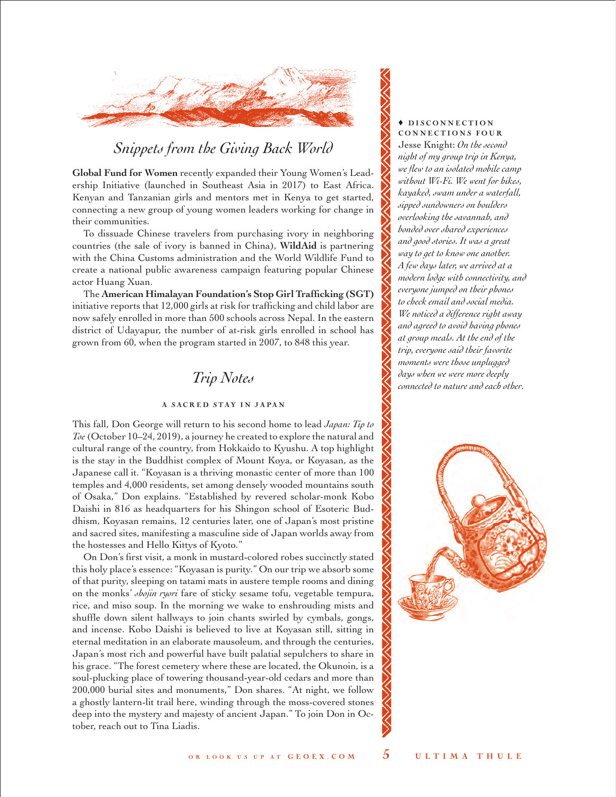

# *Snippets from the [Giving Back W](https://www.geoex.com/responsible-travel)orld*

**Global Fund for Women** recently expanded their Young Women's Leadership Initiative (launched in Southeast Asia in 2017) to East Africa. Kenyan and Tanzanian girls and mentors met in Kenya to get started, connecting a new group of young women leaders working for change in their communities.

To dissuade Chinese travelers from purchasing ivory in neighboring countries (the sale of ivory is banned in China), **WildAid** is partnering with the China Customs administration and the World Wildlife Fund to create a national public awareness campaign featuring popular Chinese actor Huang Xuan.

The **American Himalayan Foundation's Stop Girl Trafficking (SGT)**  initiative reports that 12,000 girls at risk for trafficking and child labor are now safely enrolled in more than 500 schools across Nepal. In the eastern district of Udayapur, the number of at-risk girls enrolled in school has grown from 60, when the program started in 2007, to 848 this year.

# *Trip Notes*

## A SACRED STAY IN JAPAN

This fall, Don George will return to his second home to lead *Japan: Tip to Toe* (October 10–24, 2019), a journey he created to explore the natural and cultural range of the country, from Hokkaido to Kyushu. A top highlight is the stay in the Buddhist complex of Mount Koya, or Koyasan, as the Japanese call it. "Koyasan is a thriving monastic center of more than 100 temples and 4,000 residents, set among densely wooded mountains south of Osaka," Don explains. "Established by revered scholar-monk Kobo Daishi in 816 as headquarters for his Shingon school of Esoteric Buddhism, Koyasan remains, 12 centuries later, one of Japan's most pristine and sacred sites, manifesting a masculine side of Japan worlds away from the hostesses and Hello Kittys of Kyoto."

On Don's first visit, a monk in mustard-colored robes succinctly stated this holy place's essence: "Koyasan is purity." On our trip we absorb some of that purity, sleeping on tatami mats in austere temple rooms and dining on the monks' *shojin ryori* fare of sticky sesame tofu, vegetable tempura, rice, and miso soup. In the morning we wake to enshrouding mists and shuffle down silent hallways to join chants swirled by cymbals, gongs, and incense. Kobo Daishi is believed to live at Koyasan still, sitting in eternal meditation in an elaborate mausoleum, and through the centuries, Japan's most rich and powerful have built palatial sepulchers to share in his grace. "The forest cemetery where these are located, the Okunoin, is a soul-plucking place of towering thousand-year-old cedars and more than 200,000 burial sites and monuments," Don shares. "At night, we follow a ghostly lantern-lit trail here, winding through the moss-covered stones deep into the mystery and majesty of ancient Japan." To join Don in October, reach out to Tina Liadis.

## $\triangle$  DISCONNECTION CONNECTIONS FOUR

Jesse Knight: *On the second night of my group trip in Kenya, we flew to an isolated mobile camp without Wi-Fi. We went for hikes, kayaked, swam under a waterfall, sipped sundowners on boulders overlooking the savannah, and bonded over shared experiences and good stories. It was a great way to get to know one another. A few days later, we arrived at a modern lodge with connectivity, and everyone jumped on their phones to check email and social media. We noticed a difference right away and agreed to avoid having phones at group meals. At the end of the trip, everyone said their favorite moments were those unplugged days when we were more deeply connected to nature and each other.*

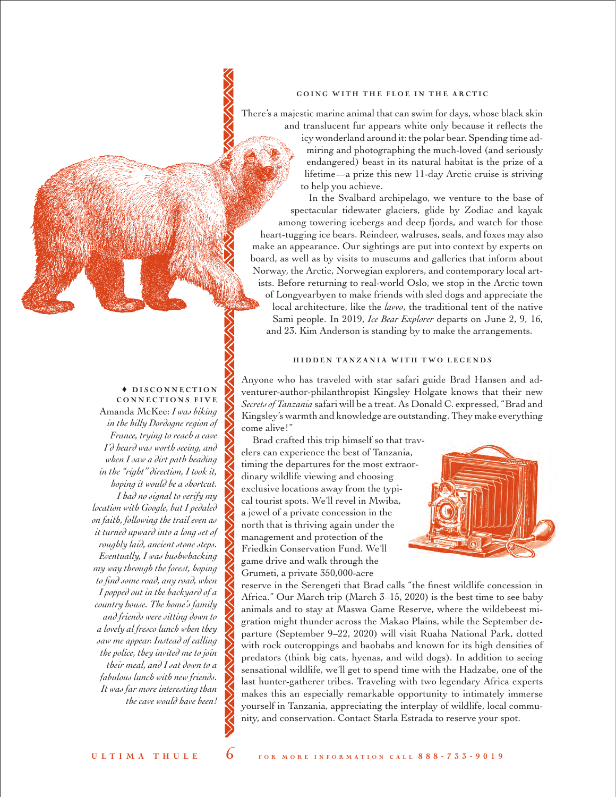#### GOING WITH THE FLOE IN THE ARCTIC

There's a majestic marine animal that can swim for days, whose black skin

and translucent fur appears white only because it reflects the icy wonderland around it: the polar bear. Spending time admiring and photographing the much-loved (and seriously endangered) beast in its natural habitat is the prize of a lifetime—a prize this new 11-day Arctic cruise is striving to help you achieve.

In the Svalbard archipelago, we venture to the base of spectacular tidewater glaciers, glide by Zodiac and kayak among towering icebergs and deep fjords, and watch for those heart-tugging ice bears. Reindeer, walruses, seals, and foxes may also make an appearance. Our sightings are put into context by experts on board, as well as by visits to museums and galleries that inform about Norway, the Arctic, Norwegian explorers, and contemporary local artists. Before returning to real-world Oslo, we stop in the Arctic town of Longyearbyen to make friends with sled dogs and appreciate the local architecture, like the *lavvo*, the traditional tent of the native Sami people. In 2019, *Ice Bear Explorer* departs on June 2, 9, 16, and 23. Kim Anderson is standing by to make the arrangements.

## HIDDEN TANZANIA WITH TWO LEGENDS

Anyone who has traveled with star safari guide Brad Hansen and adventurer-author-philanthropist Kingsley Holgate knows that their new *Secrets of Tanzania* safari will be a treat. As Donald C. expressed, "Brad and Kingsley's warmth and knowledge are outstanding. They make everything come alive!"

Brad crafted this trip himself so that travelers can experience the best of Tanzania, timing the departures for the most extraordinary wildlife viewing and choosing exclusive locations away from the typical tourist spots. We'll revel in Mwiba, a jewel of a private concession in the north that is thriving again under the management and protection of the Friedkin Conservation Fund. We'll game drive and walk through the Grumeti, a private 350,000-acre



reserve in the Serengeti that Brad calls "the finest wildlife concession in Africa." Our March trip (March 3–15, 2020) is the best time to see baby animals and to stay at Maswa Game Reserve, where the wildebeest migration might thunder across the Makao Plains, while the September departure (September 9–22, 2020) will visit Ruaha National Park, dotted with rock outcroppings and baobabs and known for its high densities of predators (think big cats, hyenas, and wild dogs). In addition to seeing sensational wildlife, we'll get to spend time with the Hadzabe, one of the last hunter-gatherer tribes. Traveling with two legendary Africa experts makes this an especially remarkable opportunity to intimately immerse yourself in Tanzania, appreciating the interplay of wildlife, local community, and conservation. Contact Starla Estrada to reserve your spot.

#### $\triangle$  DISCONNECTION CONNECTIONS FIVE

Amanda McKee: *I was biking in the hilly Dordogne region of France, trying to reach a cave I'd heard was worth seeing, and when I saw a dirt path heading in the "right" direction, I took it, hoping it would be a shortcut. I had no signal to verify my location with Google, but I pedaled on faith, following the trail even as it turned upward into a long set of roughly laid, ancient stone steps. Eventually, I was bushwhacking my way through the forest, hoping to find some road, any road, when I popped out in the backyard of a country house. The home's family and friends were sitting down to a lovely al fresco lunch when they saw me appear. Instead of calling the police, they invited me to join their meal, and I sat down to a fabulous lunch with new friends. It was far more interesting than the cave would have been!*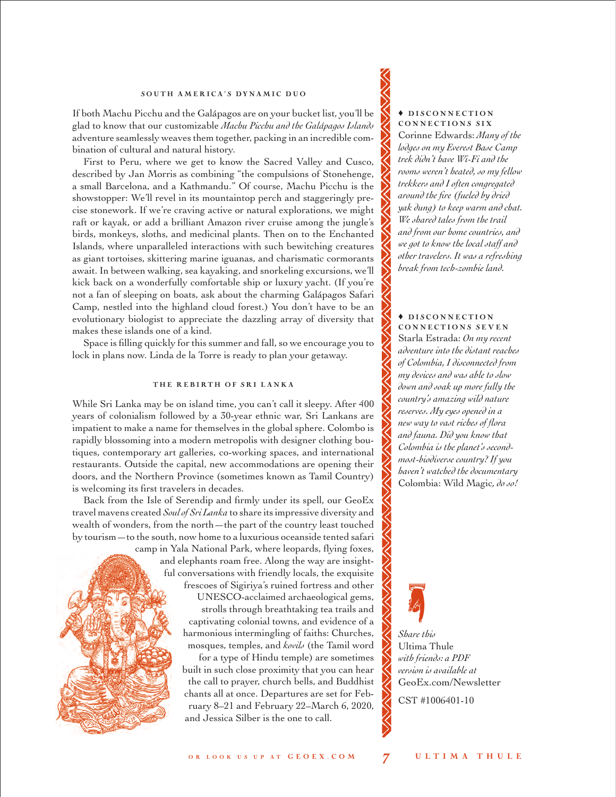## SOUTH AMERICA'S DYNAMIC DUO

If both Machu Picchu and the Galápagos are on your bucket list, you'll be glad to know that our customizable *Machu Picchu and the Galápagos Islands* adventure seamlessly weaves them together, packing in an incredible combination of cultural and natural history.

First to Peru, where we get to know the Sacred Valley and Cusco, described by Jan Morris as combining "the compulsions of Stonehenge, a small Barcelona, and a Kathmandu." Of course, Machu Picchu is the showstopper: We'll revel in its mountaintop perch and staggeringly precise stonework. If we're craving active or natural explorations, we might raft or kayak, or add a brilliant Amazon river cruise among the jungle's birds, monkeys, sloths, and medicinal plants. Then on to the Enchanted Islands, where unparalleled interactions with such bewitching creatures as giant tortoises, skittering marine iguanas, and charismatic cormorants await. In between walking, sea kayaking, and snorkeling excursions, we'll kick back on a wonderfully comfortable ship or luxury yacht. (If you're not a fan of sleeping on boats, ask about the charming Galápagos Safari Camp, nestled into the highland cloud forest.) You don't have to be an evolutionary biologist to appreciate the dazzling array of diversity that makes these islands one of a kind.

Space is filling quickly for this summer and fall, so we encourage you to lock in plans now. Linda de la Torre is ready to plan your getaway.

#### THE REBIRTH OF SRI LANKA

While Sri Lanka may be on island time, you can't call it sleepy. After 400 years of colonialism followed by a 30-year ethnic war, Sri Lankans are impatient to make a name for themselves in the global sphere. Colombo is rapidly blossoming into a modern metropolis with designer clothing boutiques, contemporary art galleries, co-working spaces, and international restaurants. Outside the capital, new accommodations are opening their doors, and the Northern Province (sometimes known as Tamil Country) is welcoming its first travelers in decades.

Back from the Isle of Serendip and firmly under its spell, our GeoEx travel mavens created *Soul of Sri Lanka* to share its impressive diversity and wealth of wonders, from the north—the part of the country least touched by tourism—to the south, now home to a luxurious oceanside tented safari

> camp in Yala National Park, where leopards, flying foxes, and elephants roam free. Along the way are insightful conversations with friendly locals, the exquisite frescoes of Sigiriya's ruined fortress and other UNESCO-acclaimed archaeological gems, strolls through breathtaking tea trails and captivating colonial towns, and evidence of a harmonious intermingling of faiths: Churches, mosques, temples, and *kovils* (the Tamil word for a type of Hindu temple) are sometimes built in such close proximity that you can hear the call to prayer, church bells, and Buddhist chants all at once. Departures are set for February 8–21 and February 22–March 6, 2020, and Jessica Silber is the one to call.

#### $\triangle$  DISCONNECTION CONNECTIONS SIX

Corinne Edwards: *Many of the lodges on my Everest Base Camp trek didn't have Wi-Fi and the rooms weren't heated, so my fellow trekkers and I often congregated around the fire (fueled by dried yak dung) to keep warm and chat. We shared tales from the trail and from our home countries, and we got to know the local staff and other travelers. It was a refreshing break from tech-zombie land.* 

## $\triangle$  DISCONNECTION CONNECTIONS SEVEN

Starla Estrada: *On my recent adventure into the distant reaches of Colombia, I disconnected from my devices and was able to slow down and soak up more fully the country's amazing wild nature reserves. My eyes opened in a new way to vast riches of flora and fauna. Did you know that Colombia is the planet's secondmost-biodiverse country? If you haven't watched the documentary*  Colombia: Wild Magic*, do so!*



*Share this*  Ultima Thule *with friends: a PDF version is available at* [GeoEx.com/Newsletter](https://www.geoex.com/Newsletter)

CST #1006401-10